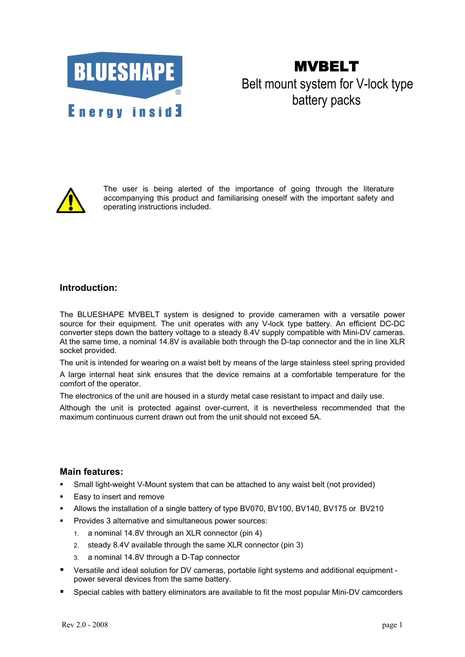

MVBELT Belt mount system for V-lock type battery packs



The user is being alerted of the importance of going through the literature accompanying this product and familiarising oneself with the important safety and operating instructions included.

# **Introduction:**

The BLUESHAPE MVBELT system is designed to provide cameramen with a versatile power source for their equipment. The unit operates with any V-lock type battery. An efficient DC-DC converter steps down the battery voltage to a steady 8.4V supply compatible with Mini-DV cameras. At the same time, a nominal 14.8V is available both through the D-tap connector and the in line XLR socket provided.

The unit is intended for wearing on a waist belt by means of the large stainless steel spring provided A large internal heat sink ensures that the device remains at a comfortable temperature for the comfort of the operator.

The electronics of the unit are housed in a sturdy metal case resistant to impact and daily use.

Although the unit is protected against over-current, it is nevertheless recommended that the maximum continuous current drawn out from the unit should not exceed 5A.

### **Main features:**

- Small light-weight V-Mount system that can be attached to any waist belt (not provided)
- Easy to insert and remove
- Allows the installation of a single battery of type BV070, BV100, BV140, BV175 or BV210
- **Provides 3 alternative and simultaneous power sources:** 
	- 1. a nominal 14.8V through an XLR connector (pin 4)
	- 2. steady 8.4V available through the same XLR connector (pin 3)
	- 3. a nominal 14.8V through a D-Tap connector
- Versatile and ideal solution for DV cameras, portable light systems and additional equipment power several devices from the same battery.
- Special cables with battery eliminators are available to fit the most popular Mini-DV camcorders